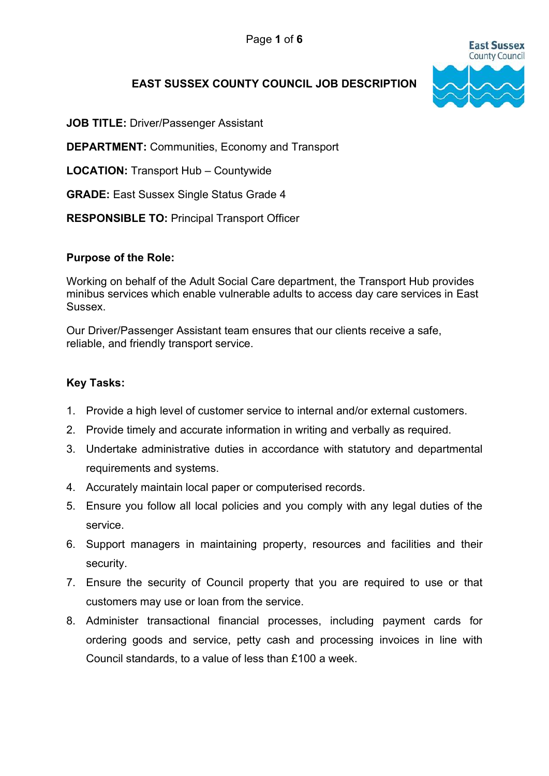

# EAST SUSSEX COUNTY COUNCIL JOB DESCRIPTION

JOB TITLE: Driver/Passenger Assistant

DEPARTMENT: Communities, Economy and Transport

LOCATION: Transport Hub – Countywide

GRADE: East Sussex Single Status Grade 4

RESPONSIBLE TO: Principal Transport Officer

#### Purpose of the Role:

Working on behalf of the Adult Social Care department, the Transport Hub provides minibus services which enable vulnerable adults to access day care services in East Sussex.

Our Driver/Passenger Assistant team ensures that our clients receive a safe, reliable, and friendly transport service.

#### Key Tasks:

- 1. Provide a high level of customer service to internal and/or external customers.
- 2. Provide timely and accurate information in writing and verbally as required.
- 3. Undertake administrative duties in accordance with statutory and departmental requirements and systems.
- 4. Accurately maintain local paper or computerised records.
- 5. Ensure you follow all local policies and you comply with any legal duties of the service.
- 6. Support managers in maintaining property, resources and facilities and their security.
- 7. Ensure the security of Council property that you are required to use or that customers may use or loan from the service.
- 8. Administer transactional financial processes, including payment cards for ordering goods and service, petty cash and processing invoices in line with Council standards, to a value of less than £100 a week.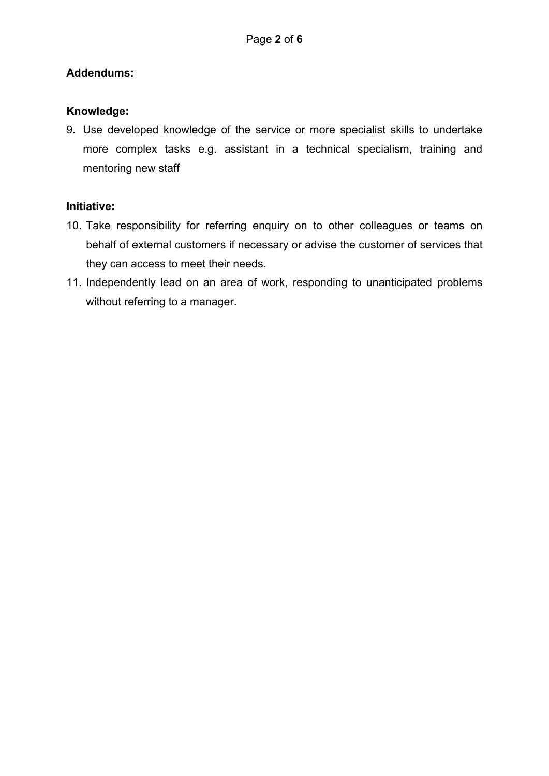# Addendums:

# Knowledge:

9. Use developed knowledge of the service or more specialist skills to undertake more complex tasks e.g. assistant in a technical specialism, training and mentoring new staff

# Initiative:

- 10. Take responsibility for referring enquiry on to other colleagues or teams on behalf of external customers if necessary or advise the customer of services that they can access to meet their needs.
- 11. Independently lead on an area of work, responding to unanticipated problems without referring to a manager.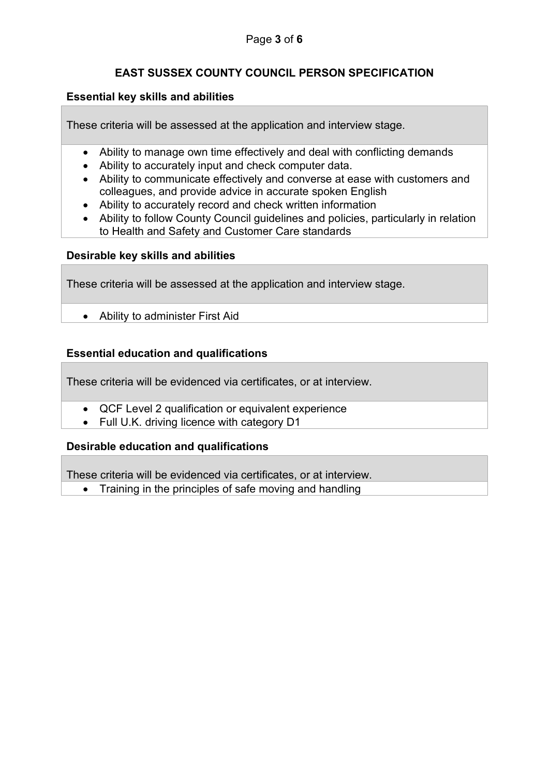# EAST SUSSEX COUNTY COUNCIL PERSON SPECIFICATION

### Essential key skills and abilities

These criteria will be assessed at the application and interview stage.

- Ability to manage own time effectively and deal with conflicting demands
- Ability to accurately input and check computer data.
- Ability to communicate effectively and converse at ease with customers and colleagues, and provide advice in accurate spoken English
- Ability to accurately record and check written information
- Ability to follow County Council guidelines and policies, particularly in relation to Health and Safety and Customer Care standards

# Desirable key skills and abilities

These criteria will be assessed at the application and interview stage.

Ability to administer First Aid

# Essential education and qualifications

These criteria will be evidenced via certificates, or at interview.

- QCF Level 2 qualification or equivalent experience
- Full U.K. driving licence with category D1

### Desirable education and qualifications

These criteria will be evidenced via certificates, or at interview.

• Training in the principles of safe moving and handling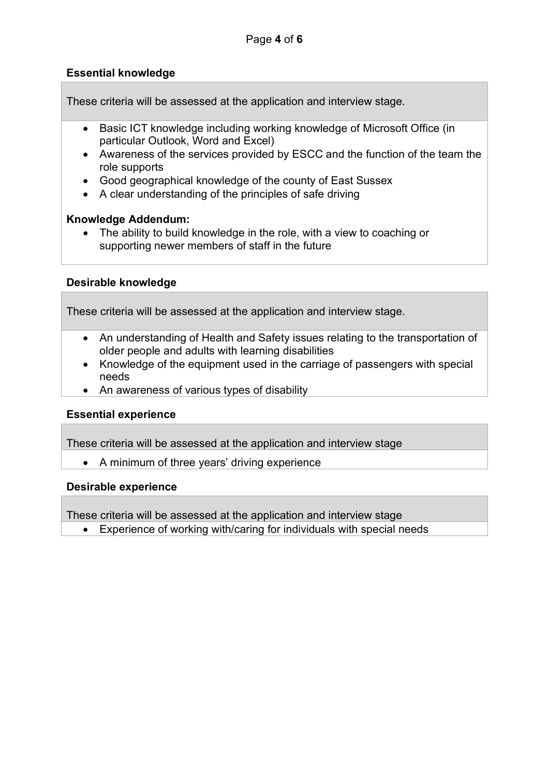### Essential knowledge

These criteria will be assessed at the application and interview stage.

- Basic ICT knowledge including working knowledge of Microsoft Office (in particular Outlook, Word and Excel)
- Awareness of the services provided by ESCC and the function of the team the role supports
- Good geographical knowledge of the county of East Sussex
- A clear understanding of the principles of safe driving

#### Knowledge Addendum:

• The ability to build knowledge in the role, with a view to coaching or supporting newer members of staff in the future

#### Desirable knowledge

These criteria will be assessed at the application and interview stage.

- An understanding of Health and Safety issues relating to the transportation of older people and adults with learning disabilities
- Knowledge of the equipment used in the carriage of passengers with special needs
- An awareness of various types of disability

#### Essential experience

These criteria will be assessed at the application and interview stage

• A minimum of three years' driving experience

#### Desirable experience

These criteria will be assessed at the application and interview stage

Experience of working with/caring for individuals with special needs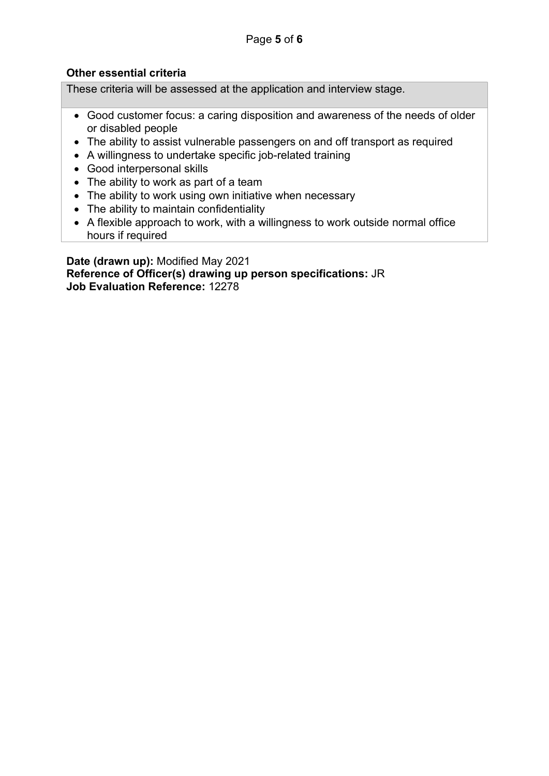# Other essential criteria

These criteria will be assessed at the application and interview stage.

- Good customer focus: a caring disposition and awareness of the needs of older or disabled people
- The ability to assist vulnerable passengers on and off transport as required
- A willingness to undertake specific job-related training
- Good interpersonal skills
- The ability to work as part of a team
- The ability to work using own initiative when necessary
- The ability to maintain confidentiality
- A flexible approach to work, with a willingness to work outside normal office hours if required

Date (drawn up): Modified May 2021 Reference of Officer(s) drawing up person specifications: JR Job Evaluation Reference: 12278